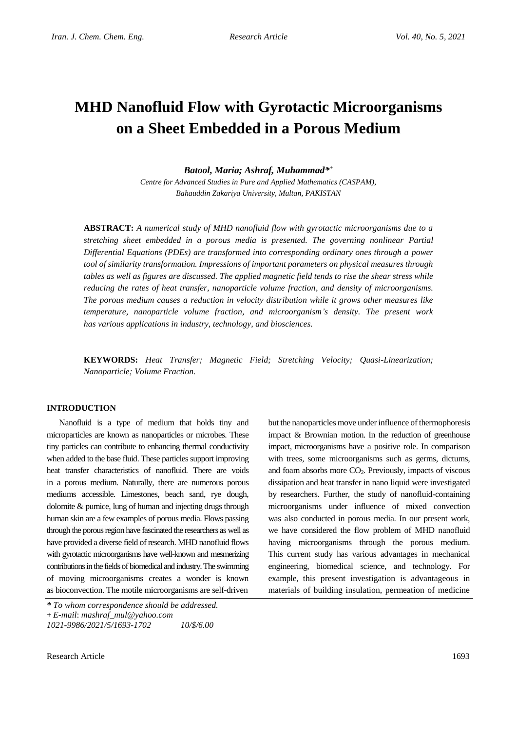# **MHD Nanofluid Flow with Gyrotactic Microorganisms on a Sheet Embedded in a Porous Medium**

*Batool, Maria; Ashraf, Muhammad\* +*

*Centre for Advanced Studies in Pure and Applied Mathematics (CASPAM), Bahauddin Zakariya University, Multan, PAKISTAN*

**ABSTRACT:** *A numerical study of MHD nanofluid flow with gyrotactic microorganisms due to a stretching sheet embedded in a porous media is presented. The governing nonlinear Partial Differential Equations (PDEs) are transformed into corresponding ordinary ones through a power tool of similarity transformation. Impressions of important parameters on physical measures through tables as well as figures are discussed. The applied magnetic field tends to rise the shear stress while reducing the rates of heat transfer, nanoparticle volume fraction, and density of microorganisms. The porous medium causes a reduction in velocity distribution while it grows other measures like temperature, nanoparticle volume fraction, and microorganism's density. The present work has various applications in industry, technology, and biosciences.*

**KEYWORDS:** *Heat Transfer; Magnetic Field; Stretching Velocity; Quasi-Linearization; Nanoparticle; Volume Fraction.*

### **INTRODUCTION**

Nanofluid is a type of medium that holds tiny and microparticles are known as nanoparticles or microbes. These tiny particles can contribute to enhancing thermal conductivity when added to the base fluid. These particles support improving heat transfer characteristics of nanofluid. There are voids in a porous medium. Naturally, there are numerous porous mediums accessible. Limestones, beach sand, rye dough, dolomite & pumice, lung of human and injecting drugs through human skin are a few examples of porous media. Flows passing through the porous region have fascinated the researchers as well as have provided a diverse field of research. MHD nanofluid flows with gyrotactic microorganisms have well-known and mesmerizing contributions in the fields of biomedical and industry.The swimming of moving microorganisms creates a wonder is known as bioconvection. The motile microorganisms are self-driven

but the nanoparticles move under influence of thermophoresis impact & Brownian motion. In the reduction of greenhouse impact, microorganisms have a positive role. In comparison with trees, some microorganisms such as germs, dictums, and foam absorbs more CO2. Previously, impacts of viscous dissipation and heat transfer in nano liquid were investigated by researchers. Further, the study of nanofluid-containing microorganisms under influence of mixed convection was also conducted in porous media. In our present work, we have considered the flow problem of MHD nanofluid having microorganisms through the porous medium. This current study has various advantages in mechanical engineering, biomedical science, and technology. For example, this present investigation is advantageous in materials of building insulation, permeation of medicine

*<sup>\*</sup> To whom correspondence should be addressed.*

**<sup>+</sup>** *E-mail*: *mashraf\_mul@yahoo.com*

*<sup>1021-9986/2021/5/1693-1702 10/\$/6.00</sup>*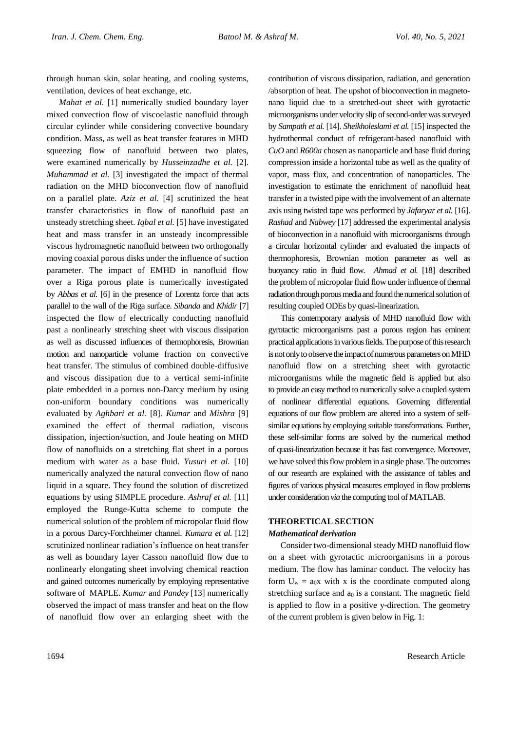through human skin, solar heating, and cooling systems, ventilation, devices of heat exchange, etc.

*Mahat et al.* [1] numerically studied boundary layer mixed convection flow of viscoelastic nanofluid through circular cylinder while considering convective boundary condition. Mass, as well as heat transfer features in MHD squeezing flow of nanofluid between two plates, were examined numerically by *Husseinzadhe et al.* [2]. *Muhammad et al.* [3] investigated the impact of thermal radiation on the MHD bioconvection flow of nanofluid on a parallel plate. *Aziz et al.* [4] scrutinized the heat transfer characteristics in flow of nanofluid past an unsteady stretching sheet. *Iqbal et al.* [5] have investigated heat and mass transfer in an unsteady incompressible viscous hydromagnetic nanofluid between two orthogonally moving coaxial porous disks under the influence of suction parameter. The impact of EMHD in nanofluid flow over a Riga porous plate is numerically investigated by *Abbas et al.* [6] in the presence of Lorentz force that acts parallel to the wall of the Riga surface. *Sibanda* and *Khidir* [7] inspected the flow of electrically conducting nanofluid past a nonlinearly stretching sheet with viscous dissipation as well as discussed influences of thermophoresis, Brownian motion and nanoparticle volume fraction on convective heat transfer. The stimulus of combined double-diffusive and viscous dissipation due to a vertical semi-infinite plate embedded in a porous non-Darcy medium by using non-uniform boundary conditions was numerically evaluated by *Aghbari et al.* [8]. *Kumar* and *Mishra* [9] examined the effect of thermal radiation, viscous dissipation, injection/suction, and Joule heating on MHD flow of nanofluids on a stretching flat sheet in a porous medium with water as a base fluid. *Yusuri et al.* [10] numerically analyzed the natural convection flow of nano liquid in a square. They found the solution of discretized equations by using SIMPLE procedure. *Ashraf et al.* [11] employed the Runge-Kutta scheme to compute the numerical solution of the problem of micropolar fluid flow in a porous Darcy-Forchheimer channel. *Kumara et al.* [12] scrutinized nonlinear radiation's influence on heat transfer as well as boundary layer Casson nanofluid flow due to nonlinearly elongating sheet involving chemical reaction and gained outcomes numerically by employing representative software of MAPLE. *Kumar* and *Pandey* [13] numerically observed the impact of mass transfer and heat on the flow of nanofluid flow over an enlarging sheet with the

contribution of viscous dissipation, radiation, and generation /absorption of heat. The upshot of bioconvection in magnetonano liquid due to a stretched-out sheet with gyrotactic microorganisms under velocity slip of second-order was surveyed by *Sampath et al.* [14]. *Sheikholeslami et al.* [15] inspected the hydrothermal conduct of refrigerant-based nanofluid with *CuO* and *R600a* chosen as nanoparticle and base fluid during compression inside a horizontal tube as well as the quality of vapor, mass flux, and concentration of nanoparticles. The investigation to estimate the enrichment of nanofluid heat transfer in a twisted pipe with the involvement of an alternate axis using twisted tape was performed by *Jafaryar et al.* [16]. *Rashad* and *Nabwey* [17] addressed the experimental analysis of bioconvection in a nanofluid with microorganisms through a circular horizontal cylinder and evaluated the impacts of thermophoresis, Brownian motion parameter as well as buoyancy ratio in fluid flow. *Ahmad et al.* [18] described the problem of micropolar fluid flow under influence of thermal radiation through porous media and found the numerical solution of resulting coupled ODEs by quasi-linearization.

This contemporary analysis of MHD nanofluid flow with gyrotactic microorganisms past a porous region has eminent practical applications in various fields. The purpose of this research is not only to observe the impact of numerous parameters on MHD nanofluid flow on a stretching sheet with gyrotactic microorganisms while the magnetic field is applied but also to provide an easy method to numerically solve a coupled system of nonlinear differential equations. Governing differential equations of our flow problem are altered into a system of selfsimilar equations by employing suitable transformations. Further, these self-similar forms are solved by the numerical method of quasi-linearization because it has fast convergence. Moreover, we have solved this flow problem in a single phase. The outcomes of our research are explained with the assistance of tables and figures of various physical measures employed in flow problems under consideration *via* the computing tool of MATLAB.

## **THEORETICAL SECTION** *Mathematical derivation*

Consider two-dimensional steady MHD nanofluid flow on a sheet with gyrotactic microorganisms in a porous medium. The flow has laminar conduct. The velocity has form  $U_w = a_0x$  with x is the coordinate computed along stretching surface and  $a_0$  is a constant. The magnetic field is applied to flow in a positive y-direction. The geometry of the current problem is given below in Fig. 1: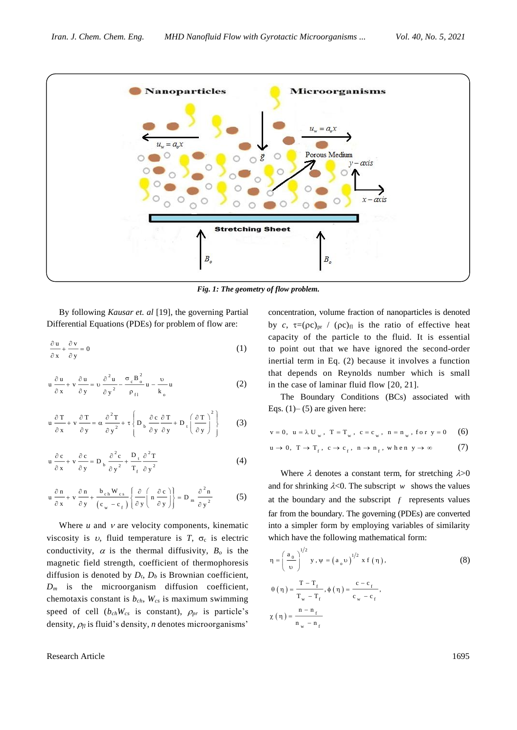

*Fig. 1: The geometry of flow problem.*

By following *Kausar et. al* [19], the governing Partial Differential Equations (PDEs) for problem of flow are:

$$
\frac{\partial \mathbf{u}}{\partial \mathbf{x}} + \frac{\partial \mathbf{v}}{\partial \mathbf{y}} = 0 \tag{1}
$$

$$
u \frac{\partial u}{\partial x} + v \frac{\partial u}{\partial y} = v \frac{\partial^2 u}{\partial y^2} - \frac{\sigma_c B_o^2}{\rho_{f1}} u - \frac{v}{k_o} u \tag{2}
$$

$$
u \frac{\partial T}{\partial x} + v \frac{\partial T}{\partial y} = \alpha \frac{\partial^2 T}{\partial y^2} + \tau \left\{ D_b \frac{\partial c}{\partial y} \frac{\partial T}{\partial y} + D_t \left( \frac{\partial T}{\partial y} \right)^2 \right\}
$$
(3)

$$
u \frac{\partial c}{\partial x} + v \frac{\partial c}{\partial y} = D_b \frac{\partial^2 c}{\partial y^2} + \frac{D_t}{T_f} \frac{\partial^2 T}{\partial y^2}
$$
 (4)

$$
u \frac{\partial n}{\partial x} + v \frac{\partial n}{\partial y} + \frac{b_{ch} W_{cs}}{(c_w - c_f)} \left\{ \frac{\partial}{\partial y} \left( n \frac{\partial c}{\partial y} \right) \right\} = D_m \frac{\partial^2 n}{\partial y^2}
$$
 (5)

Where  $u$  and  $v$  are velocity components, kinematic viscosity is  $v$ , fluid temperature is  $T$ ,  $\sigma_c$  is electric conductivity,  $\alpha$  is the thermal diffusivity,  $B_0$  is the magnetic field strength, coefficient of thermophoresis diffusion is denoted by *Dt*, *D<sup>b</sup>* is Brownian coefficient,  $D_m$  is the microorganism diffusion coefficient, chemotaxis constant is *bch*, *Wcs* is maximum swimming speed of cell  $(b_{ch}W_{cs}$  is constant),  $\rho_{pr}$  is particle's density,  $\rho_{fl}$  is fluid's density, *n* denotes microorganisms'

Research Article 1695

concentration, volume fraction of nanoparticles is denoted by *c*,  $\tau = (\rho c)_{pr}$  /  $(\rho c)_{fl}$  is the ratio of effective heat capacity of the particle to the fluid. It is essential to point out that we have ignored the second-order inertial term in Eq. (2) because it involves a function that depends on Reynolds number which is small in the case of laminar fluid flow [20, 21].

The Boundary Conditions (BCs) associated with Eqs.  $(1)$ – $(5)$  are given here:

$$
v = 0
$$
,  $u = \lambda U_w$ ,  $T = T_w$ ,  $c = c_w$ ,  $n = n_w$ , for  $y = 0$  (6)

$$
\mathbf{u} \to 0, \ \mathbf{T} \to \mathbf{T}_{\mathbf{f}}, \ \mathbf{c} \to \mathbf{c}_{\mathbf{f}}, \ \mathbf{n} \to \mathbf{n}_{\mathbf{f}}, \ \mathbf{w} \ \mathbf{h} \ \mathbf{e} \ \mathbf{n} \ \mathbf{y} \to \infty \tag{7}
$$

Where  $\lambda$  denotes a constant term, for stretching  $\lambda > 0$ and for shrinking  $\lambda < 0$ . The subscript w shows the values at the boundary and the subscript  $f$  represents values far from the boundary. The governing (PDEs) are converted into a simpler form by employing variables of similarity which have the following mathematical form:

$$
\eta = \left(\frac{a_0}{\upsilon}\right)^{1/2} y, \psi = \left(a_0 \upsilon\right)^{1/2} x f(\eta),
$$
\n
$$
\theta(\eta) = \frac{T - T_f}{T_w - T_f}, \phi(\eta) = \frac{c - c_f}{c_w - c_f},
$$
\n
$$
\chi(\eta) = \frac{n - n_f}{n_w - n_f}
$$
\n(8)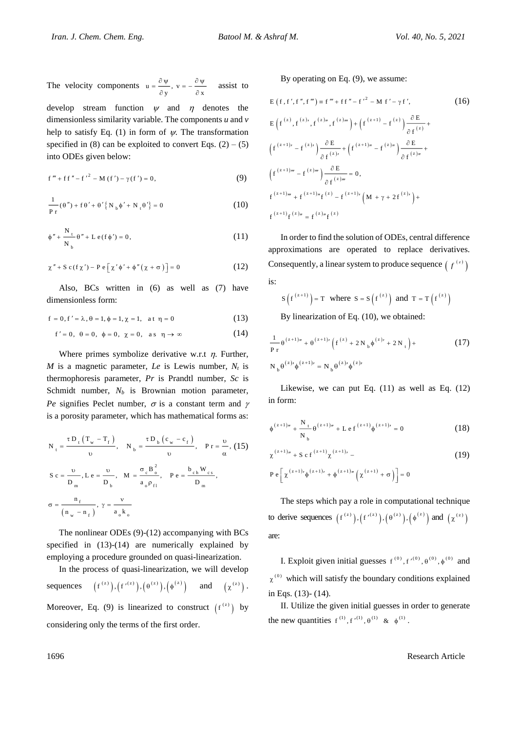The velocity components  $u = \frac{v + v}{\partial y}$ ,  $v = -\frac{v + v}{\partial x}$  $=\frac{\partial \Psi}{\partial y}, v=-\frac{\partial \Psi}{\partial x}$ assist to develop stream function  $\psi$  and  $\eta$  denotes the

dimensionless similarity variable. The components *u* and *v* help to satisfy Eq. (1) in form of  $\psi$ . The transformation specified in (8) can be exploited to convert Eqs.  $(2) - (5)$ into ODEs given below:

$$
f''' + ff'' - f'^2 - M(f') - \gamma(f') = 0,
$$
 (9)

$$
\frac{1}{P r}(\theta'') + f \theta' + \theta' \{ N_b \phi' + N_t \theta' \} = 0
$$
\n(10)

$$
\phi'' + \frac{N_t}{N_b} \theta'' + L e(f \phi') = 0,
$$
\n(11)

$$
\chi'' + S c(f\chi') - P e \left[ \chi' \phi' + \phi''(\chi + \sigma) \right] = 0 \tag{12}
$$

Also, BCs written in (6) as well as (7) have dimensionless form:

$$
f = 0, f' = \lambda, \theta = 1, \phi = 1, \chi = 1
$$
, at  $\eta = 0$  (13)

$$
f'=0, \ \theta=0, \ \phi=0, \ \chi=0, \ \text{as} \ \eta \to \infty \tag{14}
$$

Where primes symbolize derivative w.r.t  $\eta$ . Further, *M* is a magnetic parameter, *Le* is Lewis number, *N<sup>t</sup>* is thermophoresis parameter, *Pr* is Prandtl number, *Sc* is Schmidt number,  $N_b$  is Brownian motion parameter, *Pe* signifies Peclet number,  $\sigma$  is a constant term and  $\gamma$ is a porosity parameter, which has mathematical forms as:

$$
N_{t} = \frac{\tau D_{t} (T_{w} - T_{f})}{\upsilon}, \quad N_{b} = \frac{\tau D_{b} (c_{w} - c_{f})}{\upsilon}, \quad Pr = \frac{\upsilon}{\alpha}, (15)
$$
  

$$
S c = \frac{\upsilon}{D_{m}}, L e = \frac{\upsilon}{D_{b}}, \quad M = \frac{\sigma_{c} B_{o}^{2}}{a_{o} \rho_{f1}}, \quad P e = \frac{b_{ch} W_{cs}}{D_{m}},
$$
  

$$
\sigma = \frac{n_{f}}{(n_{w} - n_{f})}, \quad \gamma = \frac{\upsilon}{a_{o} k_{o}}
$$

The nonlinear ODEs (9)-(12) accompanying with BCs specified in (13)-(14) are numerically explained by employing a procedure grounded on quasi-linearization.

In the process of quasi-linearization, we will develop sequences  $(f^{(z)}), (f'^{(z)}), (\theta^{(z)}), (\phi^{(z)})$  and  $(\chi^{(z)})$ . Moreover, Eq. (9) is linearized to construct  $(f^{(z)})$  by considering only the terms of the first order.

By operating on Eq. (9), we assume:

 2 <sup>E</sup> <sup>f</sup> , <sup>f</sup> , <sup>f</sup> , <sup>f</sup> <sup>f</sup> <sup>f</sup> <sup>f</sup> <sup>f</sup> <sup>M</sup> <sup>f</sup> <sup>f</sup> , (16) z z z z z 1 z z z 1 z z 1 z z z z 1 z z z 1 z 1 z z 1 z z 1 z z z E E f , f , f , f f f f E E f f f f f f E f f 0 , f f f f f M 2 f f f f f 

In order to find the solution of ODEs, central difference approximations are operated to replace derivatives. Consequently, a linear system to produce sequence  $(f^{(z)})$ is:

$$
S(f^{(z+1)}) = T \text{ where } S = S(f^{(z)}) \text{ and } T = T(f^{(z)})
$$
  
By linearization of Eq. (10) we obtained:

By linearization of Eq. (10), we obtained:

$$
\frac{1}{P r} \theta^{(z+1)r} + \theta^{(z+1)r} \left( f^{(z)} + 2 N_b \phi^{(z)r} + 2 N_t \right) +
$$
\n
$$
N_b \theta^{(z)r} \phi^{(z+1)r} = N_b \theta^{(z)r} \phi^{(z)r}
$$
\n(17)

Likewise, we can put Eq. (11) as well as Eq. (12) in form:

$$
\phi^{(z+1)n} + \frac{N_t}{N_b} \theta^{(z+1)n} + L e f^{(z+1)} \phi^{(z+1)n} = 0
$$
 (18)

$$
\chi^{(z+1)r} + S c f^{(z+1)} \chi^{(z+1)} -
$$
  
P e  $\left[ \chi^{(z+1)} \phi^{(z+1)r} + \phi^{(z+1)r} (\chi^{(z+1)} + \sigma) \right] = 0$  (19)

The steps which pay a role in computational technique to derive sequences  $(f^{(z)}), (f^{(z)}), (\theta^{(z)}), (\phi^{(z)})$  and  $(\chi^{(z)})$ are:

I. Exploit given initial guesses  $f^{(0)}$ ,  $f^{(0)}$ ,  $\theta^{(0)}$ ,  $\phi^{(0)}$  and  $\chi^{(0)}$  which will satisfy the boundary conditions explained in Eqs. (13)- (14).

II. Utilize the given initial guesses in order to generate the new quantities  $f^{(1)}$ ,  $f'^{(1)}$ ,  $\theta^{(1)}$  &  $\phi^{(1)}$ .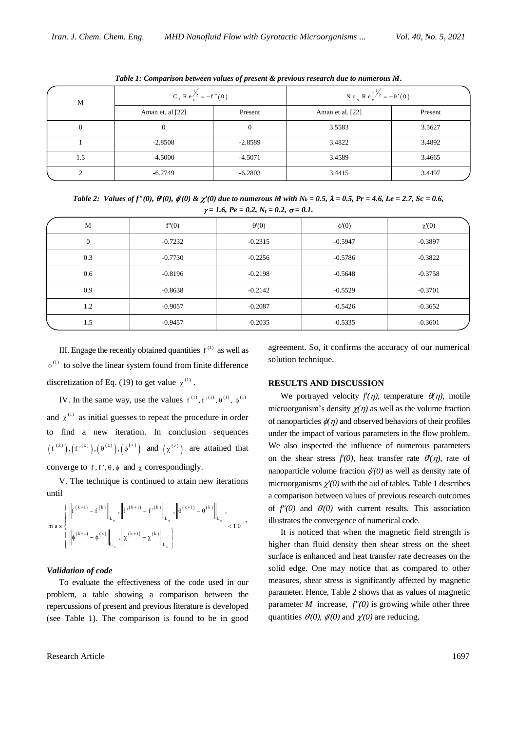| М   | $C_f$ R e $\frac{1}{2}$ = -f'(0) |           | Nu <sub>x</sub> Re <sup>-1/2</sup> <sub>2</sub> = - $\theta'(0)$ |         |
|-----|----------------------------------|-----------|------------------------------------------------------------------|---------|
|     | Aman et. al [22]                 | Present   | Aman et al. [22]                                                 | Present |
|     | 0                                |           | 3.5583                                                           | 3.5627  |
|     | $-2.8508$                        | $-2.8589$ | 3.4822                                                           | 3.4892  |
| 1.5 | $-4.5000$                        | $-4.5071$ | 3.4589                                                           | 3.4665  |
|     | $-6.2749$                        | $-6.2803$ | 3.4415                                                           | 3.4497  |

*Table 1: Comparison between values of present & previous research due to numerous M***.**

*Table* 2: Values of  $f''(0)$ ,  $\theta'(0)$ ,  $\phi'(0) \& \chi'(0)$  due to numerous *M* with  $N_b = 0.5$ ,  $\lambda = 0.5$ ,  $Pr = 4.6$ ,  $Le = 2.7$ ,  $Sc = 0.6$ ,  $\gamma = 1.6$ ,  $Pe = 0.2$ ,  $N_t = 0.2$ ,  $\sigma = 0.1$ .

| M        | f''(0)    | $\theta'(0)$ | $\phi'(0)$ | $\chi'(0)$ |
|----------|-----------|--------------|------------|------------|
| $\theta$ | $-0.7232$ | $-0.2315$    | $-0.5947$  | $-0.3897$  |
| 0.3      | $-0.7730$ | $-0.2256$    | $-0.5786$  | $-0.3822$  |
| 0.6      | $-0.8196$ | $-0.2198$    | $-0.5648$  | $-0.3758$  |
| 0.9      | $-0.8638$ | $-0.2142$    | $-0.5529$  | $-0.3701$  |
| 1.2      | $-0.9057$ | $-0.2087$    | $-0.5426$  | $-0.3652$  |
| 1.5      | $-0.9457$ | $-0.2035$    | $-0.5335$  | $-0.3601$  |

III. Engage the recently obtained quantities  $f^{(1)}$  as well as  $\phi^{(1)}$  to solve the linear system found from finite difference discretization of Eq. (19) to get value  $\chi^{(1)}$ .

IV. In the same way, use the values  $f^{(1)}$ ,  $f'^{(1)}$ ,  $\theta^{(1)}$ ,  $\phi^{(1)}$ and  $\chi^{(1)}$  as initial guesses to repeat the procedure in order to find a new iteration. In conclusion sequences  $(f^{(z)}), (f'^{(z)}), (\theta^{(z)}), (\phi^{(z)})$  and  $(\chi^{(z)})$  are attained that converge to f, f',  $\theta$ ,  $\phi$  and  $\chi$  correspondingly.

V. The technique is continued to attain new iterations until

$$
m\hspace*{0.1cm} \alpha \hspace*{0.1cm} x \left\{\left\|\begin{matrix}f^{(k+1)}-f^{(k)}\right\|_{L_\infty},\left\|f^{\prime(k+1)}-f^{\prime(k)}\right\|_{L_\infty},\left\|\theta^{(k+1)}-\theta^{(k)}\right\|_{L_\infty},\\ \left\|\phi^{(k+1)}-\phi^{(k)}\right\|_{L_\infty},\left\| \chi^{(k+1)}-\chi^{(k)}\right\|_{L_\infty}\right\} \end{matrix}\right\}.
$$

#### *Validation of code*

To evaluate the effectiveness of the code used in our problem, a table showing a comparison between the repercussions of present and previous literature is developed (see Table 1). The comparison is found to be in good

agreement. So, it confirms the accuracy of our numerical solution technique.

#### **RESULTS AND DISCUSSION**

We portrayed velocity  $f'(\eta)$ , temperature  $\theta(\eta)$ , motile microorganism's density  $\chi(\eta)$  as well as the volume fraction of nanoparticles  $\phi(\eta)$  and observed behaviors of their profiles under the impact of various parameters in the flow problem. We also inspected the influence of numerous parameters on the shear stress  $f'(0)$ , heat transfer rate  $\theta'(\eta)$ , rate of nanoparticle volume fraction  $\phi'(0)$  as well as density rate of microorganisms  $\chi'(0)$  with the aid of tables. Table 1 describes a comparison between values of previous research outcomes of  $f''(0)$  and  $\theta'(0)$  with current results. This association illustrates the convergence of numerical code.

It is noticed that when the magnetic field strength is higher than fluid density then shear stress on the sheet surface is enhanced and heat transfer rate decreases on the solid edge. One may notice that as compared to other measures, shear stress is significantly affected by magnetic parameter. Hence, Table 2 shows that as values of magnetic parameter  $M$  increase,  $f''(0)$  is growing while other three quantities  $\theta(0)$ ,  $\phi'(0)$  and  $\chi'(0)$  are reducing.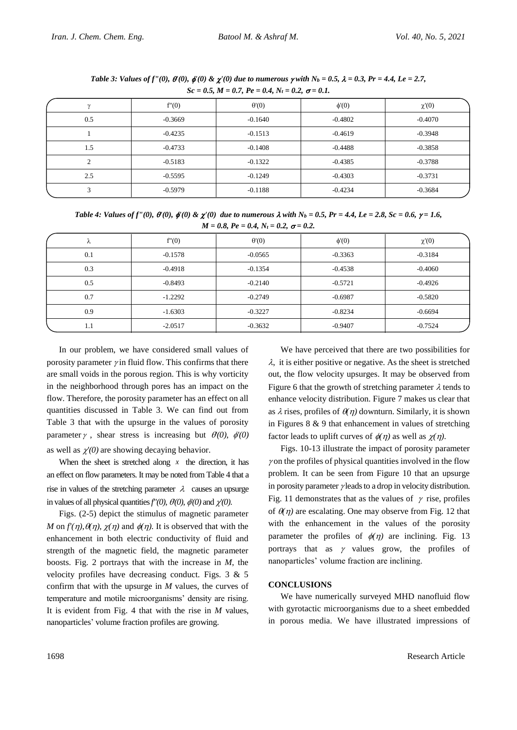| $500 - 0.01$ , $1.1 - 0.1$ , $1.0 - 0.1$ , $1.1 - 0.2$ , $0 - 0.1$ . |           |              |            |            |
|----------------------------------------------------------------------|-----------|--------------|------------|------------|
|                                                                      | f''(0)    | $\theta'(0)$ | $\phi'(0)$ | $\chi'(0)$ |
| 0.5                                                                  | $-0.3669$ | $-0.1640$    | $-0.4802$  | $-0.4070$  |
|                                                                      | $-0.4235$ | $-0.1513$    | $-0.4619$  | $-0.3948$  |
| 1.5                                                                  | $-0.4733$ | $-0.1408$    | $-0.4488$  | $-0.3858$  |
|                                                                      | $-0.5183$ | $-0.1322$    | $-0.4385$  | $-0.3788$  |
| 2.5                                                                  | $-0.5595$ | $-0.1249$    | $-0.4303$  | $-0.3731$  |
|                                                                      | $-0.5979$ | $-0.1188$    | $-0.4234$  | $-0.3684$  |

*Table 3: Values of f''(0),*  $\theta'(0)$ ,  $\phi'(0) \& \chi'(0)$  *due to numerous*  $\gamma$  *with*  $N_b = 0.5$ ,  $\lambda = 0.3$ ,  $Pr = 4.4$ , Le = 2.7,  $Sc = 0.5, M = 0.7, Pe = 0.4, N<sub>t</sub> = 0.2, \sigma = 0.1$ 

*Table 4: Values of f''(0),*  $\theta'(0)$ *,*  $\phi'(0) \& \chi'(0)$  *due to numerous*  $\lambda$  *with*  $N_b = 0.5$ *,*  $Pr = 4.4$ *,*  $Le = 2.8$ *,*  $Sc = 0.6$ *,*  $\gamma = 1.6$ *,*  $M = 0.8$ ,  $Pe = 0.4$ ,  $N_t = 0.2$ ,  $\sigma = 0.2$ .

|     | f''(0)    | $\theta(0)$ | $\phi'(0)$ | $\chi'(0)$ |
|-----|-----------|-------------|------------|------------|
| 0.1 | $-0.1578$ | $-0.0565$   | $-0.3363$  | $-0.3184$  |
| 0.3 | $-0.4918$ | $-0.1354$   | $-0.4538$  | $-0.4060$  |
| 0.5 | $-0.8493$ | $-0.2140$   | $-0.5721$  | $-0.4926$  |
| 0.7 | $-1.2292$ | $-0.2749$   | $-0.6987$  | $-0.5820$  |
| 0.9 | $-1.6303$ | $-0.3227$   | $-0.8234$  | $-0.6694$  |
| 1.1 | $-2.0517$ | $-0.3632$   | $-0.9407$  | $-0.7524$  |

In our problem, we have considered small values of porosity parameter  $\gamma$  in fluid flow. This confirms that there are small voids in the porous region. This is why vorticity in the neighborhood through pores has an impact on the flow. Therefore, the porosity parameter has an effect on all quantities discussed in Table 3. We can find out from Table 3 that with the upsurge in the values of porosity parameter  $\gamma$ , shear stress is increasing but  $\theta(0)$ ,  $\phi'(0)$ as well as  $\chi'(0)$  are showing decaying behavior.

When the sheet is stretched along  $x$  the direction, it has an effect on flow parameters. It may be noted from Table 4 that a rise in values of the stretching parameter  $\lambda$  causes an upsurge in values of all physical quantities  $f'(0)$ ,  $\theta(0)$ ,  $\phi'(0)$  and  $\chi'(0)$ .

Figs. (2-5) depict the stimulus of magnetic parameter *M* on  $f'(\eta)$ ,  $\theta(\eta)$ ,  $\chi(\eta)$  and  $\phi(\eta)$ . It is observed that with the enhancement in both electric conductivity of fluid and strength of the magnetic field, the magnetic parameter boosts. Fig. 2 portrays that with the increase in *M*, the velocity profiles have decreasing conduct. Figs. 3 & 5 confirm that with the upsurge in *M* values, the curves of temperature and motile microorganisms' density are rising. It is evident from Fig. 4 that with the rise in *M* values, nanoparticles' volume fraction profiles are growing.

We have perceived that there are two possibilities for  $\lambda$ , it is either positive or negative. As the sheet is stretched out, the flow velocity upsurges. It may be observed from Figure 6 that the growth of stretching parameter  $\lambda$  tends to enhance velocity distribution. Figure 7 makes us clear that as  $\lambda$  rises, profiles of  $\theta(\eta)$  downturn. Similarly, it is shown in Figures  $8 \& 9$  that enhancement in values of stretching factor leads to uplift curves of  $\phi(\eta)$  as well as  $\chi(\eta)$ .

Figs. 10-13 illustrate the impact of porosity parameter  $\gamma$  on the profiles of physical quantities involved in the flow problem. It can be seen from Figure 10 that an upsurge in porosity parameter  $\gamma$  leads to a drop in velocity distribution. Fig. 11 demonstrates that as the values of  $\gamma$  rise, profiles of  $\theta(\eta)$  are escalating. One may observe from Fig. 12 that with the enhancement in the values of the porosity parameter the profiles of  $\phi(\eta)$  are inclining. Fig. 13 portrays that as  $\gamma$  values grow, the profiles of nanoparticles' volume fraction are inclining.

## **CONCLUSIONS**

We have numerically surveyed MHD nanofluid flow with gyrotactic microorganisms due to a sheet embedded in porous media. We have illustrated impressions of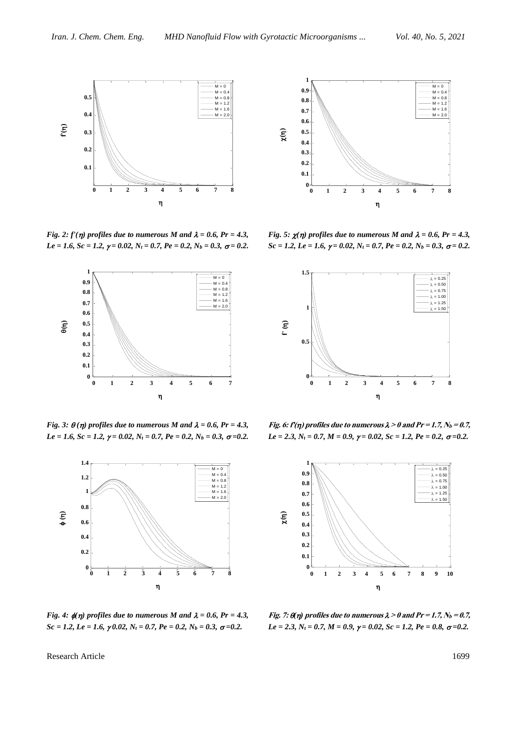

*Fig.* 2:  $f'(\eta)$  *profiles due to numerous M* and  $\lambda = 0.6$ ,  $Pr = 4.3$ ,  $Le = 1.6$ ,  $Sc = 1.2$ ,  $\gamma = 0.02$ ,  $N_t = 0.7$ ,  $Pe = 0.2$ ,  $N_b = 0.3$ ,  $\sigma = 0.2$ .



*Fig.* 3:  $\theta(\eta)$  *profiles due to numerous M* and  $\lambda = 0.6$ , *Pr* = 4.3,  $Le = 1.6$ ,  $Sc = 1.2$ ,  $\gamma = 0.02$ ,  $N_t = 0.7$ ,  $Pe = 0.2$ ,  $N_b = 0.3$ ,  $\sigma = 0.2$ .



*Fig. 4:*  $\phi(\eta)$  *profiles due to numerous M and*  $\lambda = 0.6$ *, Pr = 4.3, Sc = 1.2, Le = 1.6,*  $\gamma$ *0.02, N<sub>t</sub>* = 0.7, Pe = 0.2, N<sub>b</sub> = 0.3,  $\sigma$ =0.2.



*Fig. 5:*  $\chi(\eta)$  profiles due to numerous M and  $\lambda = 0.6$ , Pr = 4.3,  $Sc = 1.2, Le = 1.6, \gamma = 0.02, N_t = 0.7, Pe = 0.2, N_b = 0.3, \sigma = 0.2.$ 



Fig. 6:  $f'(\eta)$  profiles due to numerous  $\lambda > 0$  and  $Pr = 1.7$ ,  $N_b = 0.7$ , *Le* = 2.3,  $N_t$  = 0.7,  $M$  = 0.9,  $\gamma$  = 0.02,  $Sc$  = 1.2,  $Pe$  = 0.2,  $\sigma$  = 0.2.



**Fig. 7:**  $\theta(\eta)$  profiles due to numerous  $\lambda > 0$  and  $Pr = 1.7$ ,  $N_b = 0.7$ , *Le* = 2.3,  $N_t$  = 0.7,  $M$  = 0.9,  $\gamma$  = 0.02,  $Sc$  = 1.2,  $Pe$  = 0.8,  $\sigma$  = 0.2.

Research Article 1699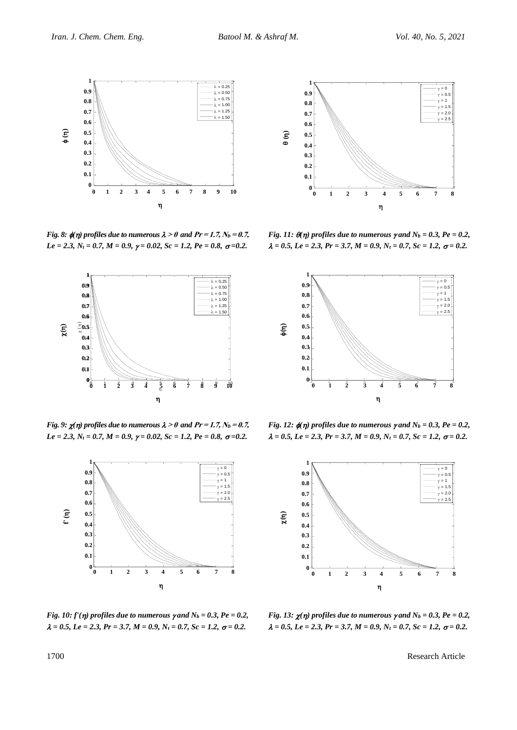$\gamma = 0$  $\gamma = 0.5$  $\gamma = 1$  $\gamma = 1.5$  $\gamma = 2.0$  $\gamma = 2.5$ 



*Fig. 8:*  $\oint$  *(n)* profiles due to numerous  $\lambda > 0$  and  $Pr = 1.7$ ,  $N_b = 0.7$ ,  $Le = 2.3, N_t = 0.7, M = 0.9, \gamma = 0.02, Sc = 1.2, Pe = 0.8, \sigma = 0.2.$ 



*Fig. 9:*  $\chi(\eta)$  profiles due to numerous  $\lambda > 0$  and  $Pr = 1.7$ ,  $N_b = 0.7$ , *Le* = 2.3,  $N_t$  = 0.7,  $M$  = 0.9,  $\gamma$  = 0.02,  $Sc$  = 1.2,  $Pe$  = 0.8,  $\sigma$  = 0.2.



*Fig. 11:*  $\theta(\eta)$  profiles due to numerous  $\gamma$  and  $N_b = 0.3$ ,  $Pe = 0.2$ ,  $\lambda = 0.5, Le = 2.3, Pr = 3.7, M = 0.9, N<sub>t</sub> = 0.7, Sc = 1.2, \sigma = 0.2.$  $0 \quad 1 \quad 2 \quad 3 \quad 4 \quad 5 \quad 6$ 0 0.1 **0.1 0 0 1 2 3 4 5 6 7 8**  $\eta$ 

0.2 **0.2** 0.3 **0.3** 0.4 **0.4**  $\bm{0.5}$ 0.6 **0.6** 0.7 **0.7** 0.8 **0.8** 0.9 **0.9** 1

**()**

**1**



*Fig.* 12:  $\phi(\eta)$  profiles due to numerous y and  $N_b = 0.3$ ,  $Pe = 0.2$ ,  $\lambda = 0.5, Le = 2.3, Pr = 3.7, M = 0.9, N<sub>t</sub> = 0.7, Sc = 1.2, \sigma = 0.2.$ 



*Fig. 10: f'(* $\eta$ *) profiles due to numerous*  $\gamma$  *and*  $N_b = 0.3$ *,*  $Pe = 0.2$ *,*  $\lambda = 0.5, Le = 2.3, Pr = 3.7, M = 0.9, N<sub>t</sub> = 0.7, Sc = 1.2, \sigma = 0.2.$ 

*Fig.* 13:  $\chi(\eta)$  profiles due to numerous  $\gamma$  and  $N_b = 0.3$ ,  $Pe = 0.2$ ,  $\lambda = 0.5, Le = 2.3, Pr = 3.7, M = 0.9, N<sub>t</sub> = 0.7, Sc = 1.2, \sigma = 0.2.$ 

1700 Research Article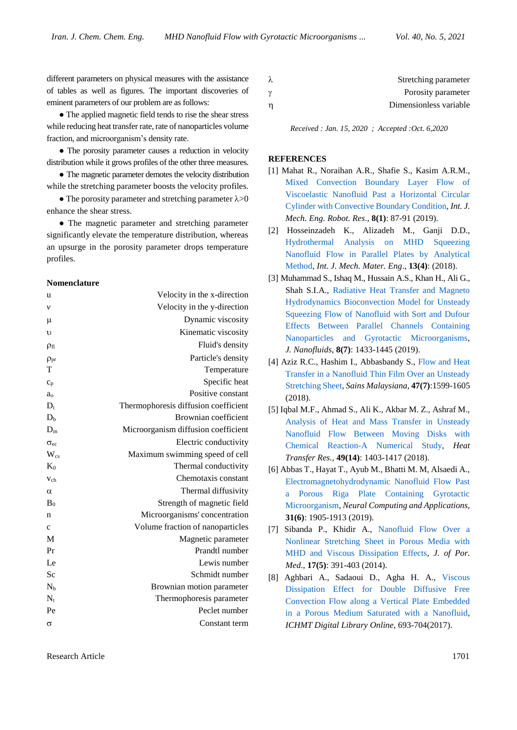different parameters on physical measures with the assistance of tables as well as figures. The important discoveries of eminent parameters of our problem are as follows:

• The applied magnetic field tends to rise the shear stress while reducing heat transfer rate, rate of nanoparticles volume fraction, and microorganism's density rate.

• The porosity parameter causes a reduction in velocity distribution while it grows profiles of the other three measures.

• The magnetic parameter demotes the velocity distribution while the stretching parameter boosts the velocity profiles.

• The porosity parameter and stretching parameter  $\lambda > 0$ enhance the shear stress.

• The magnetic parameter and stretching parameter significantly elevate the temperature distribution, whereas an upsurge in the porosity parameter drops temperature profiles.

#### **Nomenclature**

| u                | Velocity in the x-direction          |
|------------------|--------------------------------------|
| ν                | Velocity in the y-direction          |
| μ                | Dynamic viscosity                    |
| υ                | Kinematic viscosity                  |
| $\rho_{fl}$      | Fluid's density                      |
| $\rho_{pr}$      | Particle's density                   |
| T                | Temperature                          |
| $c_p$            | Specific heat                        |
| $a_0$            | Positive constant                    |
| $\mathbf{D}_{t}$ | Thermophoresis diffusion coefficient |
| D <sub>h</sub>   | Brownian coefficient                 |
| $D_m$            | Microorganism diffusion coefficient  |
| $\sigma_{ec}$    | Electric conductivity                |
| $W_{cs}$         | Maximum swimming speed of cell       |
| $K_0$            | Thermal conductivity                 |
| $V_{ch}$         | Chemotaxis constant                  |
| $\alpha$         | Thermal diffusivity                  |
| B <sub>0</sub>   | Strength of magnetic field           |
| n                | Microorganisms' concentration        |
| $\mathbf c$      | Volume fraction of nanoparticles     |
| M                | Magnetic parameter                   |
| Pr               | Prandtl number                       |
| Le               | Lewis number                         |
| Sc               | Schmidt number                       |
| $N_b$            | Brownian motion parameter            |
| $N_{t}$          | Thermophoresis parameter             |
| Pe               | Peclet number                        |
| σ                | Constant term                        |
|                  |                                      |

| λ        | Stretching parameter   |
|----------|------------------------|
| $\gamma$ | Porosity parameter     |
| n        | Dimensionless variable |

*Received : Jan. 15, 2020 ; Accepted :Oct. 6,2020*

### **REFERENCES**

- [1] Mahat R., Noraihan A.R., Shafie S., Kasim A.R.M., [Mixed Convection Boundary Layer Flow of](https://doi.org/10.18178/ijmerr.8.1.87-91)  [Viscoelastic Nanofluid Past a Horizontal Circular](https://doi.org/10.18178/ijmerr.8.1.87-91)  [Cylinder with Convective Boundary Condition,](https://doi.org/10.18178/ijmerr.8.1.87-91) *Int. J. Mech. Eng. Robot. Res*., **8(1)**: 87-91 (2019).
- [2] Hosseinzadeh K., Alizadeh M., Ganji D.D., [Hydrothermal Analysis on MHD Squeezing](https://doi.org/10.1186/s40712-020-00120-4)  [Nanofluid Flow in Parallel Plates by Analytical](https://doi.org/10.1186/s40712-020-00120-4)  [Method,](https://doi.org/10.1186/s40712-020-00120-4) *Int. J. Mech. Mater. Eng*., **13(4)**: (2018).
- [3] Muhammad S., Ishaq M., Hussain A.S., Khan H., Ali G., Shah S.I.A., [Radiative Heat Transfer and Magneto](https://doi.org/10.1166/jon.2019.1709)  [Hydrodynamics Bioconvection Model for Unsteady](https://doi.org/10.1166/jon.2019.1709)  [Squeezing Flow of Nanofluid with Sort and Dufour](https://doi.org/10.1166/jon.2019.1709)  [Effects Between Parallel Channels Containing](https://doi.org/10.1166/jon.2019.1709)  [Nanoparticles and Gyrotactic Microorganisms,](https://doi.org/10.1166/jon.2019.1709) *J. Nanofluids*, **8(7)**: 1433-1445 (2019).
- [4] Aziz R.C., Hashim I., Abbasbandy S., Flow and Heat [Transfer in a Nanofluid Thin Film Over an Unsteady](https://doi.org/10.17576/jsm-2018-4707-31)  [Stretching Sheet,](https://doi.org/10.17576/jsm-2018-4707-31) *Sains Malaysiana,* **47(7)**:1599-1605 (2018).
- [5] Iqbal M.F., Ahmad S., Ali K., Akbar M. Z., Ashraf M., [Analysis of Heat and Mass Transfer in Unsteady](https://doi.org/10.1615/HeatTransRes.2018016244)  [Nanofluid Flow Between Moving Disks with](https://doi.org/10.1615/HeatTransRes.2018016244)  [Chemical Reaction-A Numerical Study,](https://doi.org/10.1615/HeatTransRes.2018016244) *Heat Transfer Res.*, **49(14)**: 1403-1417 (2018).
- [6] Abbas T., Hayat T., Ayub M., Bhatti M. M, Alsaedi A., [Electromagnetohydrodynamic Nanofluid Flow Past](https://doi.org/10.1007/s00521-017-3165-7)  [a Porous Riga Plate Containing Gyrotactic](https://doi.org/10.1007/s00521-017-3165-7)  [Microorganism,](https://doi.org/10.1007/s00521-017-3165-7) *Neural Computing and Applications*, **31(6)**: 1905-1913 (2019).
- [7] Sibanda P., Khidir A., [Nanofluid Flow Over a](https://doi.org/10.1615/JPorMedia.v17.i5.20)  [Nonlinear Stretching Sheet in Porous Media with](https://doi.org/10.1615/JPorMedia.v17.i5.20)  [MHD and Viscous Dissipation Effects,](https://doi.org/10.1615/JPorMedia.v17.i5.20) *J. of Por. Med*., **17(5)**: 391-403 (2014).
- [8] Aghbari A., Sadaoui D., Agha H. A., [Viscous](https://www.researchgate.net/deref/http%3A%2F%2Fdx.doi.org%2F10.1615%2FICHMT.2017.CHT-7.700)  [Dissipation Effect for Double Diffusive Free](https://www.researchgate.net/deref/http%3A%2F%2Fdx.doi.org%2F10.1615%2FICHMT.2017.CHT-7.700)  [Convection Flow along a Vertical Plate Embedded](https://www.researchgate.net/deref/http%3A%2F%2Fdx.doi.org%2F10.1615%2FICHMT.2017.CHT-7.700)  [in a Porous Medium Saturated with a Nanofluid,](https://www.researchgate.net/deref/http%3A%2F%2Fdx.doi.org%2F10.1615%2FICHMT.2017.CHT-7.700) *ICHMT Digital Library Online*, 693-704(2017).